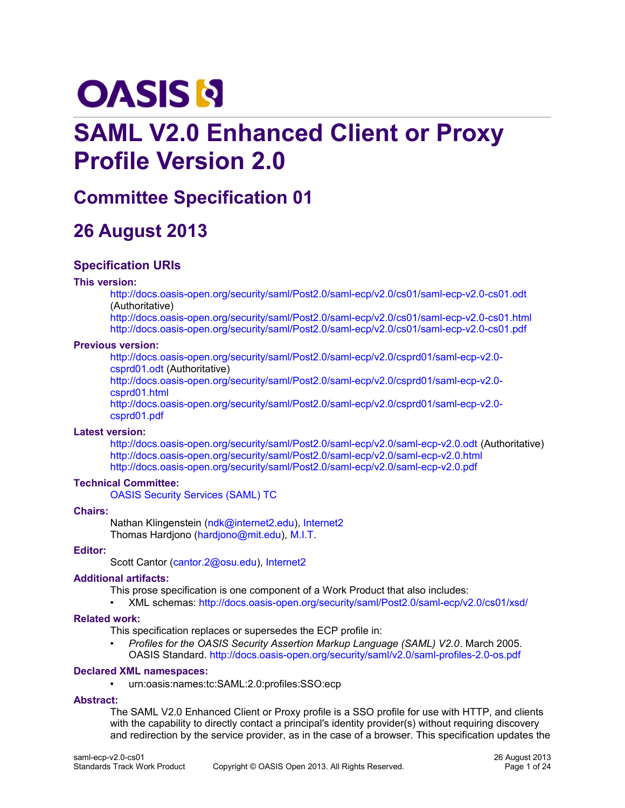# **OASIS N**

# **SAML V2.0 Enhanced Client or Proxy Profile Version 2.0**

# **Committee Specification 01**

# **26 August 2013**

# **Specification URIs**

#### **This version:**

<http://docs.oasis-open.org/security/saml/Post2.0/saml-ecp/v2.0/cs01/saml-ecp-v2.0-cs01.odt> (Authoritative)

<http://docs.oasis-open.org/security/saml/Post2.0/saml-ecp/v2.0/cs01/saml-ecp-v2.0-cs01.html> <http://docs.oasis-open.org/security/saml/Post2.0/saml-ecp/v2.0/cs01/saml-ecp-v2.0-cs01.pdf>

#### **Previous version:**

[http://docs.oasis-open.org/security/saml/Post2.0/saml-ecp/v2.0/csprd01/saml-ecp-v2.0](http://docs.oasis-open.org/security/saml/Post2.0/saml-ecp/v2.0/csprd01/saml-ecp-v2.0-csprd01.odt) [csprd01.odt](http://docs.oasis-open.org/security/saml/Post2.0/saml-ecp/v2.0/csprd01/saml-ecp-v2.0-csprd01.odt) (Authoritative)

[http://docs.oasis-open.org/security/saml/Post2.0/saml-ecp/v2.0/csprd01/saml-ecp-v2.0](http://docs.oasis-open.org/security/saml/Post2.0/saml-ecp/v2.0/csprd01/saml-ecp-v2.0-csprd01.html) [csprd01.html](http://docs.oasis-open.org/security/saml/Post2.0/saml-ecp/v2.0/csprd01/saml-ecp-v2.0-csprd01.html)

[http://docs.oasis-open.org/security/saml/Post2.0/saml-ecp/v2.0/csprd01/saml-ecp-v2.0](http://docs.oasis-open.org/security/saml/Post2.0/saml-ecp/v2.0/csprd01/saml-ecp-v2.0-csprd01.pdf) [csprd01.pdf](http://docs.oasis-open.org/security/saml/Post2.0/saml-ecp/v2.0/csprd01/saml-ecp-v2.0-csprd01.pdf)

#### **Latest version:**

<http://docs.oasis-open.org/security/saml/Post2.0/saml-ecp/v2.0/saml-ecp-v2.0.odt> (Authoritative) <http://docs.oasis-open.org/security/saml/Post2.0/saml-ecp/v2.0/saml-ecp-v2.0.html> <http://docs.oasis-open.org/security/saml/Post2.0/saml-ecp/v2.0/saml-ecp-v2.0.pdf>

#### **Technical Committee:**

[OASIS Security Services \(SAML\) TC](https://www.oasis-open.org/committees/security/)

#### **Chairs:**

Nathan Klingenstein [\(ndk@internet2.edu\)](mailto:ndk@internet2.edu), [Internet2](http://www.internet2.edu/) Thomas Hardjono [\(hardjono@mit.edu\)](mailto:hardjono@mit.edu), [M.I.T.](http://www.mit.edu/)

#### **Editor:**

Scott Cantor [\(cantor.2@osu.edu\)](mailto:cantor.2@osu.edu), [Internet2](http://www.internet2.edu/)

#### **Additional artifacts:**

This prose specification is one component of a Work Product that also includes:

• XML schemas:<http://docs.oasis-open.org/security/saml/Post2.0/saml-ecp/v2.0/cs01/xsd/>

#### **Related work:**

This specification replaces or supersedes the ECP profile in:

• *Profiles for the OASIS Security Assertion Markup Language (SAML) V2.0*. March 2005. OASIS Standard.<http://docs.oasis-open.org/security/saml/v2.0/saml-profiles-2.0-os.pdf>

#### **Declared XML namespaces:**

• urn:oasis:names:tc:SAML:2.0:profiles:SSO:ecp

#### **Abstract:**

The SAML V2.0 Enhanced Client or Proxy profile is a SSO profile for use with HTTP, and clients with the capability to directly contact a principal's identity provider(s) without requiring discovery and redirection by the service provider, as in the case of a browser. This specification updates the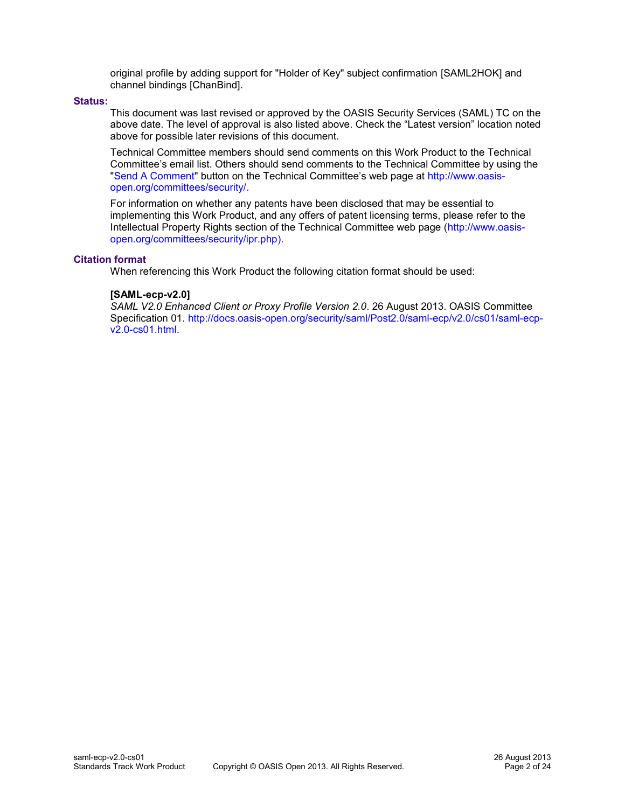original profile by adding support for "Holder of Key" subject confirmation [\[SAML2HOK\]](#page-7-0) and channel bindings [\[ChanBind\].](#page-6-0)

#### **Status:**

This document was last revised or approved by the OASIS Security Services (SAML) TC on the above date. The level of approval is also listed above. Check the "Latest version" location noted above for possible later revisions of this document.

Technical Committee members should send comments on this Work Product to the Technical Committee's email list. Others should send comments to the Technical Committee by using the ["Send A Comment"](http://www.oasis-open.org/committees/comments/index.php?wg_abbrev=security) button on the Technical Committee's web page at [http://www.oasis](http://www.oasis-open.org/committees/security/)[open.org/committees/security/.](http://www.oasis-open.org/committees/security/)

For information on whether any patents have been disclosed that may be essential to implementing this Work Product, and any offers of patent licensing terms, please refer to the Intellectual Property Rights section of the Technical Committee web page [\(http://www.oasis](http://www.oasis-open.org/committees/security/ipr.php)[open.org/committees/security/ipr.php\)](http://www.oasis-open.org/committees/security/ipr.php).

#### **Citation format**

When referencing this Work Product the following citation format should be used:

#### **[SAML-ecp-v2.0]**

*SAML V2.0 Enhanced Client or Proxy Profile Version 2.0*. 26 August 2013. OASIS Committee Specification 01. [http://docs.oasis-open.org/security/saml/Post2.0/saml-ecp/v2.0/cs01/saml-ecp](http://docs.oasis-open.org/security/saml/Post2.0/saml-ecp/v2.0/cs01/saml-ecp-v2.0-cs01.html)[v2.0-cs01.html.](http://docs.oasis-open.org/security/saml/Post2.0/saml-ecp/v2.0/cs01/saml-ecp-v2.0-cs01.html)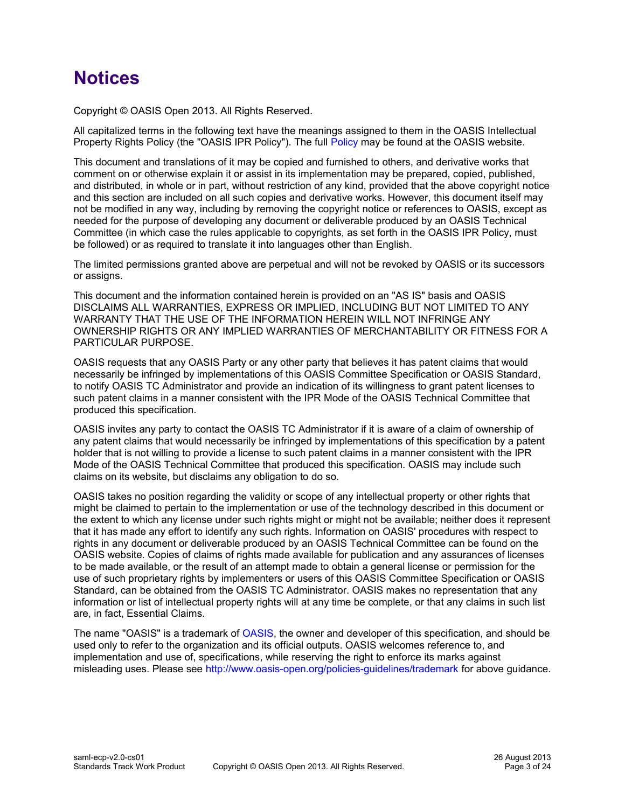# **Notices**

Copyright © OASIS Open 2013. All Rights Reserved.

All capitalized terms in the following text have the meanings assigned to them in the OASIS Intellectual Property Rights Policy (the "OASIS IPR Policy"). The full [Policy](http://www.oasis-open.org/policies-guidelines/ipr) may be found at the OASIS website.

This document and translations of it may be copied and furnished to others, and derivative works that comment on or otherwise explain it or assist in its implementation may be prepared, copied, published, and distributed, in whole or in part, without restriction of any kind, provided that the above copyright notice and this section are included on all such copies and derivative works. However, this document itself may not be modified in any way, including by removing the copyright notice or references to OASIS, except as needed for the purpose of developing any document or deliverable produced by an OASIS Technical Committee (in which case the rules applicable to copyrights, as set forth in the OASIS IPR Policy, must be followed) or as required to translate it into languages other than English.

The limited permissions granted above are perpetual and will not be revoked by OASIS or its successors or assigns.

This document and the information contained herein is provided on an "AS IS" basis and OASIS DISCLAIMS ALL WARRANTIES, EXPRESS OR IMPLIED, INCLUDING BUT NOT LIMITED TO ANY WARRANTY THAT THE USE OF THE INFORMATION HEREIN WILL NOT INFRINGE ANY OWNERSHIP RIGHTS OR ANY IMPLIED WARRANTIES OF MERCHANTABILITY OR FITNESS FOR A PARTICULAR PURPOSE.

OASIS requests that any OASIS Party or any other party that believes it has patent claims that would necessarily be infringed by implementations of this OASIS Committee Specification or OASIS Standard, to notify OASIS TC Administrator and provide an indication of its willingness to grant patent licenses to such patent claims in a manner consistent with the IPR Mode of the OASIS Technical Committee that produced this specification.

OASIS invites any party to contact the OASIS TC Administrator if it is aware of a claim of ownership of any patent claims that would necessarily be infringed by implementations of this specification by a patent holder that is not willing to provide a license to such patent claims in a manner consistent with the IPR Mode of the OASIS Technical Committee that produced this specification. OASIS may include such claims on its website, but disclaims any obligation to do so.

OASIS takes no position regarding the validity or scope of any intellectual property or other rights that might be claimed to pertain to the implementation or use of the technology described in this document or the extent to which any license under such rights might or might not be available; neither does it represent that it has made any effort to identify any such rights. Information on OASIS' procedures with respect to rights in any document or deliverable produced by an OASIS Technical Committee can be found on the OASIS website. Copies of claims of rights made available for publication and any assurances of licenses to be made available, or the result of an attempt made to obtain a general license or permission for the use of such proprietary rights by implementers or users of this OASIS Committee Specification or OASIS Standard, can be obtained from the OASIS TC Administrator. OASIS makes no representation that any information or list of intellectual property rights will at any time be complete, or that any claims in such list are, in fact, Essential Claims.

The name "OASIS" is a trademark of [OASIS,](http://www.oasis-open.org/) the owner and developer of this specification, and should be used only to refer to the organization and its official outputs. OASIS welcomes reference to, and implementation and use of, specifications, while reserving the right to enforce its marks against misleading uses. Please see<http://www.oasis-open.org/policies-guidelines/trademark>for above guidance.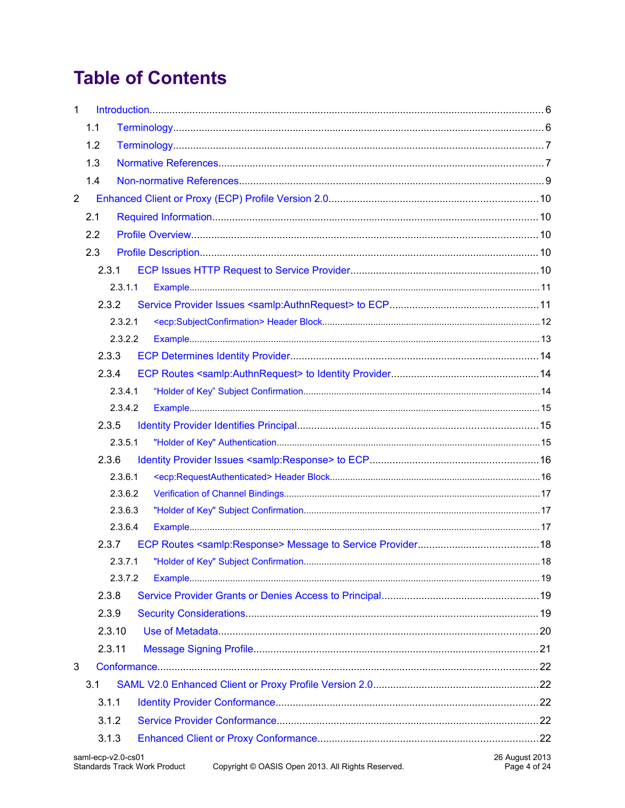# **Table of Contents**

| $\mathbf{1}$   |                                                                                                                                                  |  |  |
|----------------|--------------------------------------------------------------------------------------------------------------------------------------------------|--|--|
|                | 1.1                                                                                                                                              |  |  |
|                | 1.2                                                                                                                                              |  |  |
|                | 1.3                                                                                                                                              |  |  |
|                | 1.4                                                                                                                                              |  |  |
| $\overline{2}$ |                                                                                                                                                  |  |  |
|                | 2.1                                                                                                                                              |  |  |
|                | 2.2                                                                                                                                              |  |  |
|                | 2.3                                                                                                                                              |  |  |
|                | 2.3.1                                                                                                                                            |  |  |
|                | 2.3.1.1                                                                                                                                          |  |  |
|                | 2.3.2                                                                                                                                            |  |  |
|                | 2.3.2.1                                                                                                                                          |  |  |
|                | 2.3.2.2                                                                                                                                          |  |  |
|                | 2.3.3                                                                                                                                            |  |  |
|                | 2.3.4                                                                                                                                            |  |  |
|                | 2.3.4.1                                                                                                                                          |  |  |
|                | 2.3.4.2                                                                                                                                          |  |  |
|                | 2.3.5                                                                                                                                            |  |  |
|                | 2.3.5.1                                                                                                                                          |  |  |
|                | 2.3.6                                                                                                                                            |  |  |
|                | 2.3.6.1                                                                                                                                          |  |  |
|                | 2.3.6.2                                                                                                                                          |  |  |
|                | 2.3.6.3                                                                                                                                          |  |  |
|                | 2.3.6.4                                                                                                                                          |  |  |
|                | 2.3.7                                                                                                                                            |  |  |
|                |                                                                                                                                                  |  |  |
|                | 2.3.7.2                                                                                                                                          |  |  |
|                | 2.3.8                                                                                                                                            |  |  |
|                | 2.3.9                                                                                                                                            |  |  |
|                | 2.3.10                                                                                                                                           |  |  |
|                | 2.3.11                                                                                                                                           |  |  |
| 3              |                                                                                                                                                  |  |  |
|                | 3.1                                                                                                                                              |  |  |
|                | 3.1.1                                                                                                                                            |  |  |
|                | 3.1.2                                                                                                                                            |  |  |
|                | 3.1.3                                                                                                                                            |  |  |
|                | 26 August 2013<br>saml-ecp-v2.0-cs01<br><b>Standards Track Work Product</b><br>Copyright © OASIS Open 2013. All Rights Reserved.<br>Page 4 of 24 |  |  |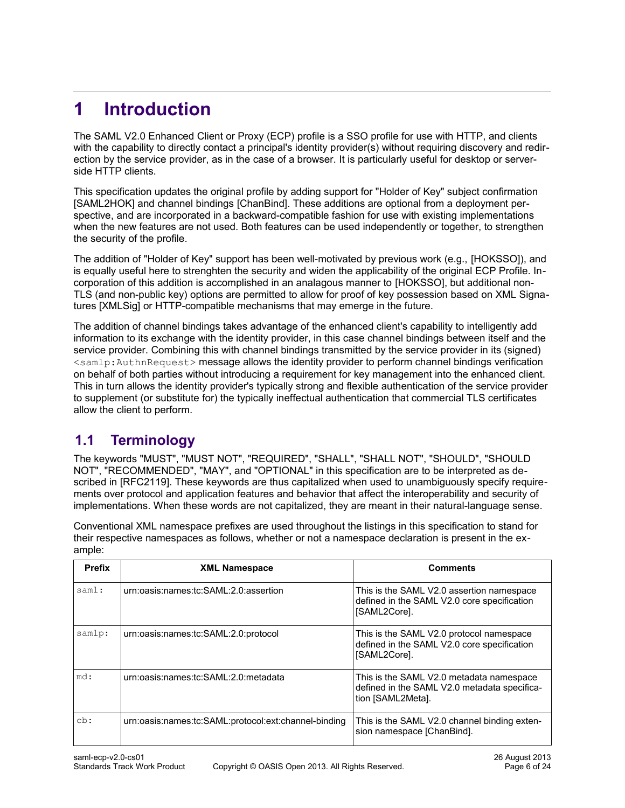# <span id="page-5-1"></span>**1 Introduction**

The SAML V2.0 Enhanced Client or Proxy (ECP) profile is a SSO profile for use with HTTP, and clients with the capability to directly contact a principal's identity provider(s) without requiring discovery and redirection by the service provider, as in the case of a browser. It is particularly useful for desktop or serverside HTTP clients.

This specification updates the original profile by adding support for "Holder of Key" subject confirmatio[n](#page-7-0) [\[SAML2HOK\]](#page-7-0) and channel bindings [\[ChanBind\].](#page-6-0) These additions are optional from a deployment perspective, and are incorporated in a backward-compatible fashion for use with existing implementations when the new features are not used. Both features can be used independently or together, to strengthen the security of the profile.

The addition of "Holder of Key" support has been well-motivated by previous work (e.g., [\[HOKSSO\]\)](#page-7-3), and is equally useful here to strenghten the security and widen the applicability of the original ECP Profile. Incorporation of this addition is accomplished in an analagous manner to [\[HOKSSO\],](#page-7-3) but additional non-TLS (and non-public key) options are permitted to allow for proof of key possession based on XML Signatures [\[XMLSig\]](#page-8-2) or HTTP-compatible mechanisms that may emerge in the future.

The addition of channel bindings takes advantage of the enhanced client's capability to intelligently add information to its exchange with the identity provider, in this case channel bindings between itself and the service provider. Combining this with channel bindings transmitted by the service provider in its (signed) <samlp:AuthnRequest> message allows the identity provider to perform channel bindings verification on behalf of both parties without introducing a requirement for key management into the enhanced client. This in turn allows the identity provider's typically strong and flexible authentication of the service provider to supplement (or substitute for) the typically ineffectual authentication that commercial TLS certificates allow the client to perform.

# <span id="page-5-0"></span>**1.1 Terminology**

The keywords "MUST", "MUST NOT", "REQUIRED", "SHALL", "SHALL NOT", "SHOULD", "SHOULD NOT", "RECOMMENDED", "MAY", and "OPTIONAL" in this specification are to be interpreted as described in [\[RFC2119\].](#page-7-2) These keywords are thus capitalized when used to unambiguously specify requirements over protocol and application features and behavior that affect the interoperability and security of implementations. When these words are not capitalized, they are meant in their natural-language sense.

Conventional XML namespace prefixes are used throughout the listings in this specification to stand for their respective namespaces as follows, whether or not a namespace declaration is present in the example:

| <b>Prefix</b> | <b>XML Namespace</b>                                 | <b>Comments</b>                                                                                               |
|---------------|------------------------------------------------------|---------------------------------------------------------------------------------------------------------------|
| saml:         | urn:oasis:names:tc:SAML:2.0:assertion                | This is the SAML V2.0 assertion namespace<br>defined in the SAML V2.0 core specification<br>[SAML2Core].      |
| samlp:        | urn:oasis:names:tc:SAML:2.0:protocol                 | This is the SAML V2.0 protocol namespace<br>defined in the SAML V2.0 core specification<br>[SAML2Core].       |
| md:           | urn:oasis:names:tc:SAML:2.0:metadata                 | This is the SAML V2.0 metadata namespace<br>defined in the SAML V2.0 metadata specifica-<br>tion [SAML2Meta]. |
| cb:           | urn:oasis:names:tc:SAML:protocol:ext:channel-binding | This is the SAML V2.0 channel binding exten-<br>sion namespace [ChanBind].                                    |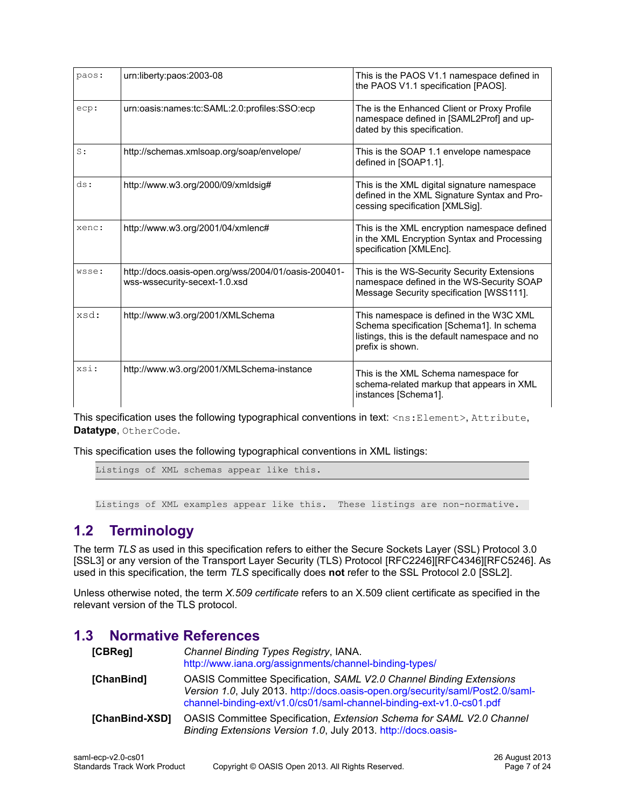| paos: | urn:liberty:paos:2003-08                                                              | This is the PAOS V1.1 namespace defined in<br>the PAOS V1.1 specification [PAOS].                                                                           |
|-------|---------------------------------------------------------------------------------------|-------------------------------------------------------------------------------------------------------------------------------------------------------------|
| ecp:  | urn:oasis:names:tc:SAML:2.0:profiles:SSO:ecp                                          | The is the Enhanced Client or Proxy Profile<br>namespace defined in [SAML2Prof] and up-<br>dated by this specification.                                     |
| S:    | http://schemas.xmlsoap.org/soap/envelope/                                             | This is the SOAP 1.1 envelope namespace<br>defined in [SOAP1.1].                                                                                            |
| ds:   | http://www.w3.org/2000/09/xmldsig#                                                    | This is the XML digital signature namespace<br>defined in the XML Signature Syntax and Pro-<br>cessing specification [XMLSig].                              |
| xenc: | http://www.w3.org/2001/04/xmlenc#                                                     | This is the XML encryption namespace defined<br>in the XML Encryption Syntax and Processing<br>specification [XMLEnc].                                      |
| wsse: | http://docs.oasis-open.org/wss/2004/01/oasis-200401-<br>wss-wssecurity-secext-1.0.xsd | This is the WS-Security Security Extensions<br>namespace defined in the WS-Security SOAP<br>Message Security specification [WSS111].                        |
| xsd:  | http://www.w3.org/2001/XMLSchema                                                      | This namespace is defined in the W3C XML<br>Schema specification [Schema1]. In schema<br>listings, this is the default namespace and no<br>prefix is shown. |
| xsi:  | http://www.w3.org/2001/XMLSchema-instance                                             | This is the XML Schema namespace for<br>schema-related markup that appears in XML<br>instances [Schema1].                                                   |

This specification uses the following typographical conventions in text: <ns: Element>, Attribute, **Datatype**, OtherCode.

This specification uses the following typographical conventions in XML listings:

Listings of XML schemas appear like this.

<span id="page-6-2"></span>Listings of XML examples appear like this. These listings are non-normative.

# **1.2 Terminology**

The term *TLS* as used in this specification refers to either the Secure Sockets Layer (SSL) Protocol 3.[0](#page-8-4) [\[SSL3\]](#page-8-4) or any version of the Transport Layer Security (TLS) Protocol [\[RFC2246\]](#page-7-6)[\[RFC4346\]](#page-7-5)[\[RFC5246\].](#page-7-4) As used in this specification, the term *TLS* specifically does **not** refer to the SSL Protocol 2.0 [\[SSL2\].](#page-8-3)

Unless otherwise noted, the term *X.509 certificate* refers to an X.509 client certificate as specified in the relevant version of the TLS protocol.

# **1.3 Normative References**

<span id="page-6-1"></span><span id="page-6-0"></span>

| [CBReg]        | Channel Binding Types Registry, IANA.<br>http://www.iana.org/assignments/channel-binding-types/                                                                                                                                      |
|----------------|--------------------------------------------------------------------------------------------------------------------------------------------------------------------------------------------------------------------------------------|
| [ChanBind]     | <b>OASIS Committee Specification, SAML V2.0 Channel Binding Extensions</b><br>Version 1.0, July 2013. http://docs.oasis-open.org/security/saml/Post2.0/saml-<br>channel-binding-ext/v1.0/cs01/saml-channel-binding-ext-v1.0-cs01.pdf |
| [ChanBind-XSD] | OASIS Committee Specification, Extension Schema for SAML V2.0 Channel<br>Binding Extensions Version 1.0, July 2013. http://docs.oasis-                                                                                               |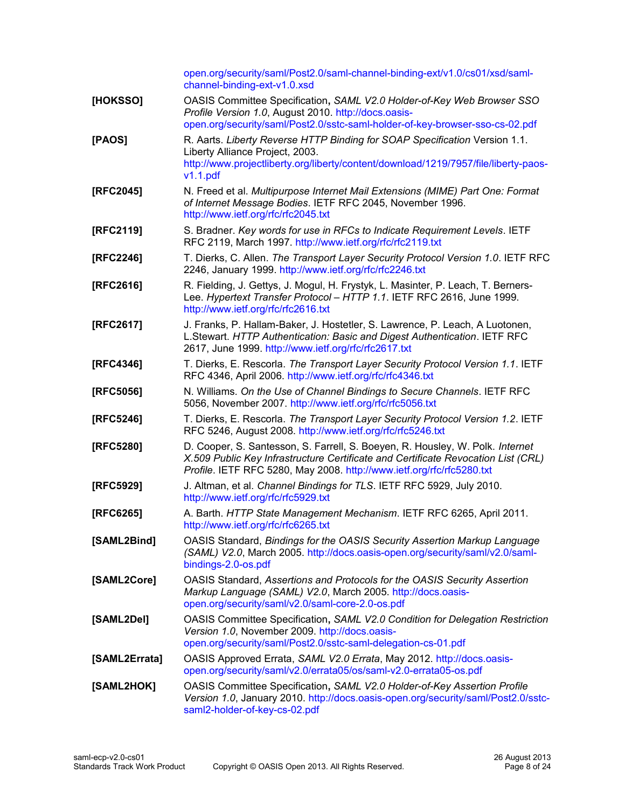<span id="page-7-14"></span><span id="page-7-13"></span><span id="page-7-12"></span><span id="page-7-11"></span><span id="page-7-10"></span><span id="page-7-9"></span><span id="page-7-8"></span><span id="page-7-7"></span><span id="page-7-6"></span><span id="page-7-5"></span><span id="page-7-4"></span><span id="page-7-3"></span><span id="page-7-2"></span><span id="page-7-1"></span><span id="page-7-0"></span>

|               | open.org/security/saml/Post2.0/saml-channel-binding-ext/v1.0/cs01/xsd/saml-<br>channel-binding-ext-v1.0.xsd                                                                                                                                 |
|---------------|---------------------------------------------------------------------------------------------------------------------------------------------------------------------------------------------------------------------------------------------|
| [HOKSSO]      | OASIS Committee Specification, SAML V2.0 Holder-of-Key Web Browser SSO<br>Profile Version 1.0, August 2010. http://docs.oasis-<br>open.org/security/saml/Post2.0/sstc-saml-holder-of-key-browser-sso-cs-02.pdf                              |
| [PAOS]        | R. Aarts. Liberty Reverse HTTP Binding for SOAP Specification Version 1.1.                                                                                                                                                                  |
|               | Liberty Alliance Project, 2003.<br>http://www.projectliberty.org/liberty/content/download/1219/7957/file/liberty-paos-<br>v1.1.pdf                                                                                                          |
| [RFC2045]     | N. Freed et al. Multipurpose Internet Mail Extensions (MIME) Part One: Format<br>of Internet Message Bodies. IETF RFC 2045, November 1996.<br>http://www.ietf.org/rfc/rfc2045.txt                                                           |
| [RFC2119]     | S. Bradner. Key words for use in RFCs to Indicate Requirement Levels. IETF<br>RFC 2119, March 1997. http://www.ietf.org/rfc/rfc2119.txt                                                                                                     |
| [RFC2246]     | T. Dierks, C. Allen. The Transport Layer Security Protocol Version 1.0. IETF RFC<br>2246, January 1999. http://www.ietf.org/rfc/rfc2246.txt                                                                                                 |
| [RFC2616]     | R. Fielding, J. Gettys, J. Mogul, H. Frystyk, L. Masinter, P. Leach, T. Berners-<br>Lee. Hypertext Transfer Protocol - HTTP 1.1. IETF RFC 2616, June 1999.<br>http://www.ietf.org/rfc/rfc2616.txt                                           |
| [RFC2617]     | J. Franks, P. Hallam-Baker, J. Hostetler, S. Lawrence, P. Leach, A Luotonen,<br>L.Stewart. HTTP Authentication: Basic and Digest Authentication. IETF RFC<br>2617, June 1999. http://www.ietf.org/rfc/rfc2617.txt                           |
| [RFC4346]     | T. Dierks, E. Rescorla. The Transport Layer Security Protocol Version 1.1. IETF<br>RFC 4346, April 2006. http://www.ietf.org/rfc/rfc4346.txt                                                                                                |
| [RFC5056]     | N. Williams. On the Use of Channel Bindings to Secure Channels. IETF RFC<br>5056, November 2007. http://www.ietf.org/rfc/rfc5056.txt                                                                                                        |
| [RFC5246]     | T. Dierks, E. Rescorla. The Transport Layer Security Protocol Version 1.2. IETF<br>RFC 5246, August 2008. http://www.ietf.org/rfc/rfc5246.txt                                                                                               |
| [RFC5280]     | D. Cooper, S. Santesson, S. Farrell, S. Boeyen, R. Housley, W. Polk. Internet<br>X.509 Public Key Infrastructure Certificate and Certificate Revocation List (CRL)<br>Profile. IETF RFC 5280, May 2008. http://www.ietf.org/rfc/rfc5280.txt |
| [RFC5929]     | J. Altman, et al. Channel Bindings for TLS. IETF RFC 5929, July 2010.<br>http://www.ietf.org/rfc/rfc5929.txt                                                                                                                                |
| [RFC6265]     | A. Barth. HTTP State Management Mechanism. IETF RFC 6265, April 2011.<br>http://www.ietf.org/rfc/rfc6265.txt                                                                                                                                |
| [SAML2Bind]   | OASIS Standard, Bindings for the OASIS Security Assertion Markup Language<br>(SAML) V2.0, March 2005. http://docs.oasis-open.org/security/saml/v2.0/saml-<br>bindings-2.0-os.pdf                                                            |
| [SAML2Core]   | OASIS Standard, Assertions and Protocols for the OASIS Security Assertion<br>Markup Language (SAML) V2.0, March 2005. http://docs.oasis-<br>open.org/security/saml/v2.0/saml-core-2.0-os.pdf                                                |
| [SAML2Del]    | OASIS Committee Specification, SAML V2.0 Condition for Delegation Restriction<br>Version 1.0, November 2009. http://docs.oasis-<br>open.org/security/saml/Post2.0/sstc-saml-delegation-cs-01.pdf                                            |
| [SAML2Errata] | OASIS Approved Errata, SAML V2.0 Errata, May 2012. http://docs.oasis-<br>open.org/security/saml/v2.0/errata05/os/saml-v2.0-errata05-os.pdf                                                                                                  |
| [SAML2HOK]    | OASIS Committee Specification, SAML V2.0 Holder-of-Key Assertion Profile<br>Version 1.0, January 2010. http://docs.oasis-open.org/security/saml/Post2.0/sstc-<br>saml2-holder-of-key-cs-02.pdf                                              |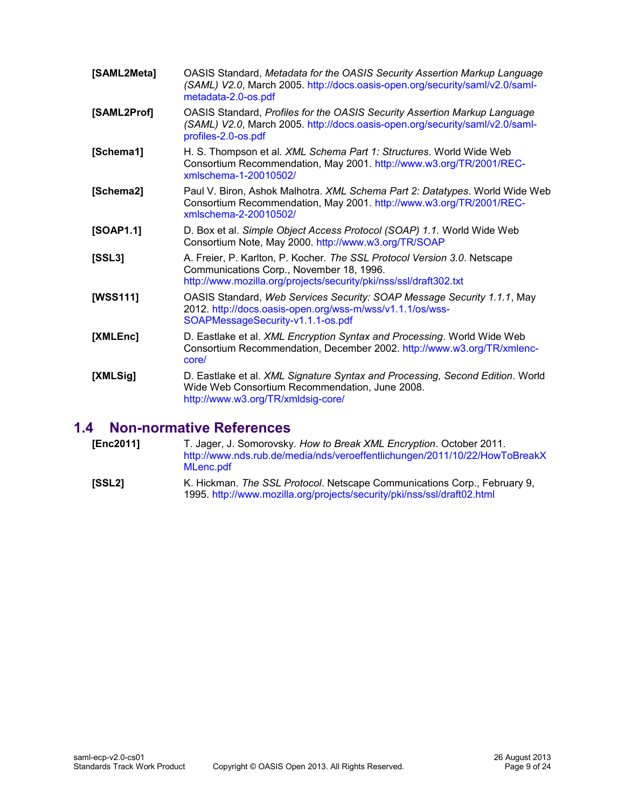<span id="page-8-9"></span><span id="page-8-8"></span><span id="page-8-5"></span><span id="page-8-1"></span>

| [SAML2Meta] | OASIS Standard, Metadata for the OASIS Security Assertion Markup Language<br>(SAML) V2.0, March 2005. http://docs.oasis-open.org/security/saml/v2.0/saml-<br>metadata-2.0-os.pdf          |
|-------------|-------------------------------------------------------------------------------------------------------------------------------------------------------------------------------------------|
| [SAML2Prof] | OASIS Standard, Profiles for the OASIS Security Assertion Markup Language<br>(SAML) V2.0, March 2005. http://docs.oasis-open.org/security/saml/v2.0/saml-<br>profiles-2.0-os.pdf          |
| [Schema1]   | H. S. Thompson et al. XML Schema Part 1: Structures. World Wide Web<br>Consortium Recommendation, May 2001. http://www.w3.org/TR/2001/REC-<br>xmlschema-1-20010502/                       |
| [Schema2]   | Paul V. Biron, Ashok Malhotra. XML Schema Part 2: Datatypes. World Wide Web<br>Consortium Recommendation, May 2001. http://www.w3.org/TR/2001/REC-<br>xmlschema-2-20010502/               |
| [SOAP1.1]   | D. Box et al. Simple Object Access Protocol (SOAP) 1.1. World Wide Web<br>Consortium Note, May 2000. http://www.w3.org/TR/SOAP                                                            |
| [SSL3]      | A. Freier, P. Karlton, P. Kocher. The SSL Protocol Version 3.0. Netscape<br>Communications Corp., November 18, 1996.<br>http://www.mozilla.org/projects/security/pki/nss/ssl/draft302.txt |
| [WSS111]    | OASIS Standard, Web Services Security: SOAP Message Security 1.1.1, May<br>2012. http://docs.oasis-open.org/wss-m/wss/v1.1.1/os/wss-<br>SOAPMessageSecurity-v1.1.1-os.pdf                 |
| [XMLEnc]    | D. Eastlake et al. <i>XML Encryption Syntax and Processing</i> . World Wide Web<br>Consortium Recommendation, December 2002. http://www.w3.org/TR/xmlenc-<br>core/                        |
| [XMLSig]    | D. Eastlake et al. XML Signature Syntax and Processing, Second Edition. World<br>Wide Web Consortium Recommendation, June 2008.<br>http://www.w3.org/TR/xmldsig-core/                     |

# <span id="page-8-7"></span><span id="page-8-6"></span><span id="page-8-4"></span><span id="page-8-2"></span>**1.4 Non-normative References**

<span id="page-8-10"></span><span id="page-8-3"></span><span id="page-8-0"></span>

| [Enc2011] | T. Jager, J. Somorovsky. How to Break XML Encryption. October 2011.<br>http://www.nds.rub.de/media/nds/veroeffentlichungen/2011/10/22/HowToBreakX<br>MLenc.pdf |
|-----------|----------------------------------------------------------------------------------------------------------------------------------------------------------------|
| [SSL2]    | K. Hickman. The SSL Protocol. Netscape Communications Corp., February 9,<br>1995. http://www.mozilla.org/projects/security/pki/nss/ssl/draft02.html            |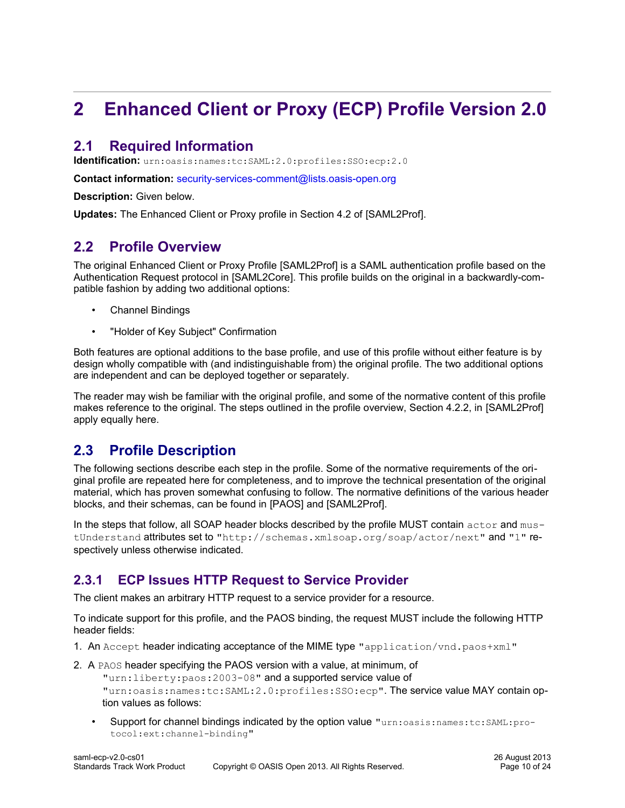# <span id="page-9-4"></span>**2 Enhanced Client or Proxy (ECP) Profile Version 2.0**

# <span id="page-9-3"></span>**2.1 Required Information**

**Identification:** urn:oasis:names:tc:SAML:2.0:profiles:SSO:ecp:2.0

**Contact information:** [security-services-comment@lists.oasis-open.org](mailto:security-services-comment@lists.oasis-open.org)

**[Description:](mailto:security-services-comment@lists.oasis-open.org)** [Given below.](mailto:security-services-comment@lists.oasis-open.org)

**[Updates:](mailto:security-services-comment@lists.oasis-open.org)** The Enhanced Client or Proxy profile in Section 4.2 of [\[SAML2Prof\].](#page-8-9)

# <span id="page-9-2"></span>**2.2 Profile Overview**

The original Enhanced Client or Proxy Profile [\[SAML2Prof\]](#page-8-9) is a SAML authentication profile based on the Authentication Request protocol in [\[SAML2Core\].](#page-7-1) This profile builds on the original in a backwardly-compatible fashion by adding two additional options:

- Channel Bindings
- "Holder of Key Subject" Confirmation

Both features are optional additions to the base profile, and use of this profile without either feature is by design wholly compatible with (and indistinguishable from) the original profile. The two additional options are independent and can be deployed together or separately.

The reader may wish be familiar with the original profile, and some of the normative content of this profile makes reference to the original. The steps outlined in the profile overview, Section 4.2.2, in [\[SAML2Prof\]](#page-8-9) apply equally here.

# <span id="page-9-1"></span>**2.3 Profile Description**

The following sections describe each step in the profile. Some of the normative requirements of the original profile are repeated here for completeness, and to improve the technical presentation of the original material, which has proven somewhat confusing to follow. The normative definitions of the various header blocks, and their schemas, can be found in [\[PAOS\]](#page-7-7) and [\[SAML2Prof\].](#page-8-9)

In the steps that follow, all SOAP header blocks described by the profile MUST contain actor and mustUnderstand attributes set to "http://schemas.xmlsoap.org/soap/actor/next" and "1" respectively unless otherwise indicated.

# <span id="page-9-0"></span>**2.3.1 ECP Issues HTTP Request to Service Provider**

The client makes an arbitrary HTTP request to a service provider for a resource.

To indicate support for this profile, and the PAOS binding, the request MUST include the following HTTP header fields:

- 1. An  $Accept$  header indicating acceptance of the MIME type "application/vnd.paos+xml"
- 2. A PAOS header specifying the PAOS version with a value, at minimum, of "urn:liberty:paos:2003-08" and a supported service value of "urn:oasis:names:tc:SAML:2.0:profiles:SSO:ecp". The service value MAY contain option values as follows:
	- Support for channel bindings indicated by the option value "urn:oasis:names:tc:SAML:protocol:ext:channel-binding"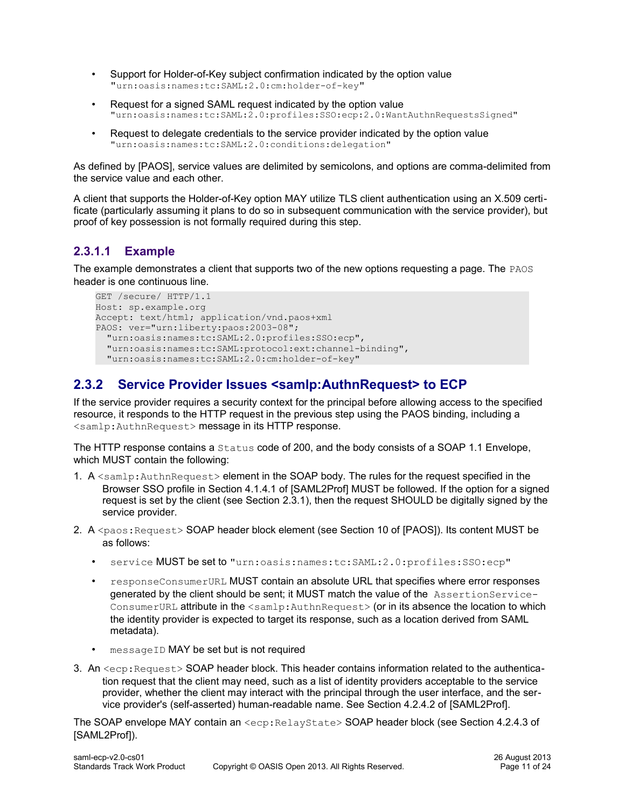- Support for Holder-of-Key subject confirmation indicated by the option value "urn:oasis:names:tc:SAML:2.0:cm:holder-of-key"
- Request for a signed SAML request indicated by the option value "urn:oasis:names:tc:SAML:2.0:profiles:SSO:ecp:2.0:WantAuthnRequestsSigned"
- Request to delegate credentials to the service provider indicated by the option value "urn:oasis:names:tc:SAML:2.0:conditions:delegation"

As defined by [\[PAOS\],](#page-7-7) service values are delimited by semicolons, and options are comma-delimited from the service value and each other.

A client that supports the Holder-of-Key option MAY utilize TLS client authentication using an X.509 certificate (particularly assuming it plans to do so in subsequent communication with the service provider), but proof of key possession is not formally required during this step.

# <span id="page-10-1"></span>**2.3.1.1 Example**

The example demonstrates a client that supports two of the new options requesting a page. The PAOS header is one continuous line.

```
GET /secure/ HTTP/1.1
Host: sp.example.org
Accept: text/html; application/vnd.paos+xml
PAOS: ver="urn:liberty:paos:2003-08";
   "urn:oasis:names:tc:SAML:2.0:profiles:SSO:ecp",
   "urn:oasis:names:tc:SAML:protocol:ext:channel-binding",
   "urn:oasis:names:tc:SAML:2.0:cm:holder-of-key"
```
# <span id="page-10-0"></span>**2.3.2 Service Provider Issues <samlp:AuthnRequest> to ECP**

If the service provider requires a security context for the principal before allowing access to the specified resource, it responds to the HTTP request in the previous step using the PAOS binding, including a <samlp:AuthnRequest> message in its HTTP response.

The HTTP response contains a Status code of 200, and the body consists of a SOAP 1.1 Envelope, which MUST contain the following:

- 1. A <samlp: AuthnRequest> element in the SOAP body. The rules for the request specified in the Browser SSO profile in Section 4.1.4.1 of [\[SAML2Prof\]](#page-8-9) MUST be followed. If the option for a signed request is set by the client (see Section [2.3.1\)](#page-9-0), then the request SHOULD be digitally signed by the service provider.
- 2. A <paos: Request> SOAP header block element (see Section 10 of [\[PAOS\]\)](#page-7-7). Its content MUST be as follows:
	- service MUST be set to "urn:oasis:names:tc:SAML:2.0:profiles:SSO:ecp"
	- responseConsumerURL MUST contain an absolute URL that specifies where error responses generated by the client should be sent; it MUST match the value of the AssertionService-ConsumerURL attribute in the <samlp:AuthnRequest> (or in its absence the location to which the identity provider is expected to target its response, such as a location derived from SAML metadata).
	- messageID MAY be set but is not required
- 3. An <ecp: Request> SOAP header block. This header contains information related to the authentication request that the client may need, such as a list of identity providers acceptable to the service provider, whether the client may interact with the principal through the user interface, and the service provider's (self-asserted) human-readable name. See Section 4.2.4.2 of [\[SAML2Prof\].](#page-8-9)

The SOAP envelope MAY contain an <ecp: RelayState> SOAP header block (see Section 4.2.4.3 o[f](#page-8-9) [\[SAML2Prof\]\)](#page-8-9).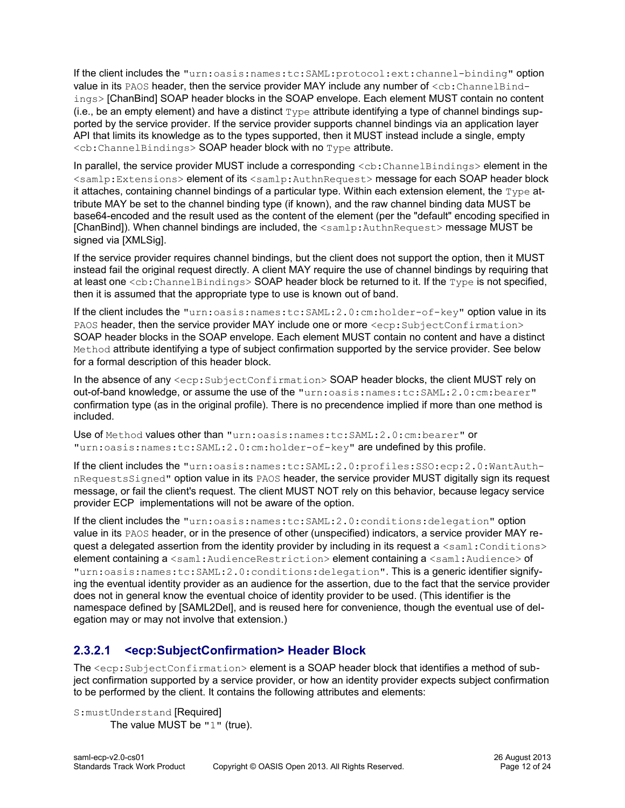If the client includes the "urn:oasis:names:tc:SAML:protocol:ext:channel-binding" option value in its PAOS header, then the service provider MAY include any number of  $\langle$ cb:ChannelBindings> [\[ChanBind\]](#page-6-0) SOAP header blocks in the SOAP envelope. Each element MUST contain no content (i.e., be an empty element) and have a distinct  $Type$  attribute identifying a type of channel bindings supported by the service provider. If the service provider supports channel bindings via an application layer API that limits its knowledge as to the types supported, then it MUST instead include a single, empty  $SOAP header block with no Type attribute.$ 

In parallel, the service provider MUST include a corresponding  $\langle cb; {\tt ChannelBindings}\rangle$  element in the <samlp:Extensions> element of its <samlp:AuthnRequest> message for each SOAP header block it attaches, containing channel bindings of a particular type. Within each extension element, the  $Type$  attribute MAY be set to the channel binding type (if known), and the raw channel binding data MUST be base64-encoded and the result used as the content of the element (per the "default" encoding specified in [\[ChanBind\]\)](#page-6-0). When channel bindings are included, the <samlp:AuthnRequest> message MUST be signed via [\[XMLSig\].](#page-8-2)

If the service provider requires channel bindings, but the client does not support the option, then it MUST instead fail the original request directly. A client MAY require the use of channel bindings by requiring that at least one  $: ChannelBindings> SOAP header block be returned to it. If the  $Type$  is not specified,$ then it is assumed that the appropriate type to use is known out of band.

If the client includes the "urn:oasis:names:tc:SAML:2.0:cm:holder-of-key" option value in its PAOS header, then the service provider MAY include one or more  $\langle$ ecp:SubjectConfirmation> SOAP header blocks in the SOAP envelope. Each element MUST contain no content and have a distinct Method attribute identifying a type of subject confirmation supported by the service provider. See below for a formal description of this header block.

In the absence of any  $\leq$ ecp: SubjectConfirmation> SOAP header blocks, the client MUST rely on out-of-band knowledge, or assume the use of the "urn:oasis:names:tc:SAML:2.0:cm:bearer" confirmation type (as in the original profile). There is no precendence implied if more than one method is included.

Use of Method values other than "urn:oasis:names:tc:SAML:2.0:cm:bearer" or "urn:oasis:names:tc:SAML:2.0:cm:holder-of-key" are undefined by this profile.

If the client includes the "urn:oasis:names:tc:SAML:2.0:profiles:SSO:ecp:2.0:WantAuthnRequestsSigned" option value in its PAOS header, the service provider MUST digitally sign its request message, or fail the client's request. The client MUST NOT rely on this behavior, because legacy service provider ECP implementations will not be aware of the option.

If the client includes the "urn:oasis:names:tc:SAML:2.0:conditions:delegation" option value in its PAOS header, or in the presence of other (unspecified) indicators, a service provider MAY request a delegated assertion from the identity provider by including in its request a  $\leq$ saml: Conditions> element containing a <saml:AudienceRestriction> element containing a <saml:Audience> of "urn:oasis:names:tc:SAML:2.0:conditions:delegation". This is a generic identifier signifying the eventual identity provider as an audience for the assertion, due to the fact that the service provider does not in general know the eventual choice of identity provider to be used. (This identifier is the namespace defined by [\[SAML2Del\],](#page-7-8) and is reused here for convenience, though the eventual use of delegation may or may not involve that extension.)

# <span id="page-11-0"></span>**2.3.2.1 <ecp:SubjectConfirmation> Header Block**

The  $\le$ ecp: SubjectConfirmation> element is a SOAP header block that identifies a method of subject confirmation supported by a service provider, or how an identity provider expects subject confirmation to be performed by the client. It contains the following attributes and elements:

S:mustUnderstand [Required] The value MUST be "1" (true).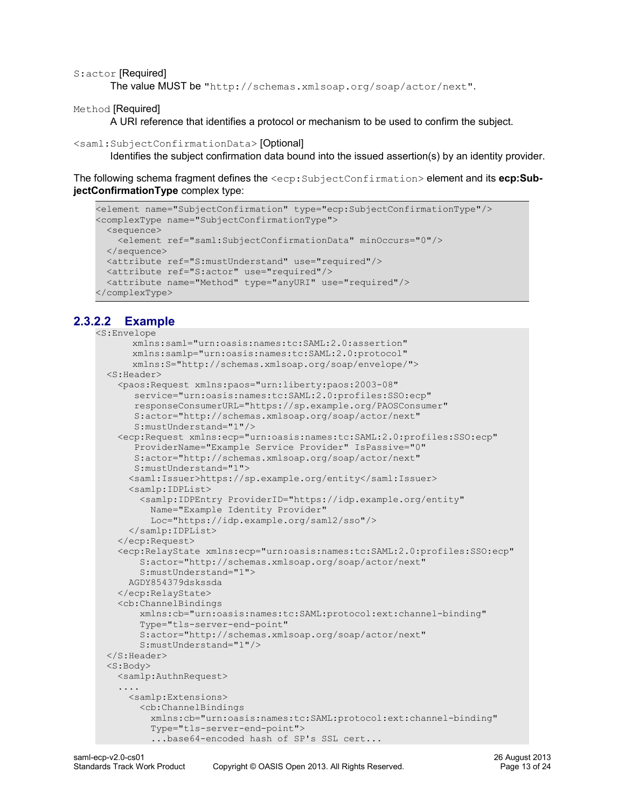#### S:actor [Required]

The value MUST be "http://schemas.xmlsoap.org/soap/actor/next".

Method [Required]

A URI reference that identifies a protocol or mechanism to be used to confirm the subject.

#### <saml:SubjectConfirmationData> [Optional]

Identifies the subject confirmation data bound into the issued assertion(s) by an identity provider.

The following schema fragment defines the <ecp:SubjectConfirmation> element and its **ecp:SubjectConfirmationType** complex type:

```
<element name="SubjectConfirmation" type="ecp:SubjectConfirmationType"/>
<complexType name="SubjectConfirmationType">
  <sequence>
    <element ref="saml:SubjectConfirmationData" minOccurs="0"/>
  </sequence>
  <attribute ref="S:mustUnderstand" use="required"/>
  <attribute ref="S:actor" use="required"/>
  <attribute name="Method" type="anyURI" use="required"/>
</complexType>
```
# **2.3.2.2 Example**

```
<S:Envelope
      xmlns:saml="urn:oasis:names:tc:SAML:2.0:assertion"
      xmlns:samlp="urn:oasis:names:tc:SAML:2.0:protocol"
      xmlns:S="http://schemas.xmlsoap.org/soap/envelope/">
   <S:Header>
     <paos:Request xmlns:paos="urn:liberty:paos:2003-08"
       service="urn:oasis:names:tc:SAML:2.0:profiles:SSO:ecp"
       responseConsumerURL="https://sp.example.org/PAOSConsumer"
       S:actor="http://schemas.xmlsoap.org/soap/actor/next"
        S:mustUnderstand="1"/>
     <ecp:Request xmlns:ecp="urn:oasis:names:tc:SAML:2.0:profiles:SSO:ecp"
        ProviderName="Example Service Provider" IsPassive="0"
        S:actor="http://schemas.xmlsoap.org/soap/actor/next"
       S:mustUnderstand="1">
       <saml:Issuer>https://sp.example.org/entity</saml:Issuer>
       <samlp:IDPList>
         <samlp:IDPEntry ProviderID="https://idp.example.org/entity"
          Name="Example Identity Provider"
          Loc="https://idp.example.org/saml2/sso"/>
       </samlp:IDPList>
     </ecp:Request>
     <ecp:RelayState xmlns:ecp="urn:oasis:names:tc:SAML:2.0:profiles:SSO:ecp"
         S:actor="http://schemas.xmlsoap.org/soap/actor/next"
         S:mustUnderstand="1">
      AGDY854379dskssda
    </ecp:RelayState>
     <cb:ChannelBindings
         xmlns:cb="urn:oasis:names:tc:SAML:protocol:ext:channel-binding"
         Type="tls-server-end-point"
         S:actor="http://schemas.xmlsoap.org/soap/actor/next"
        S:mustUnderstand="1"/>
   </S:Header>
  <S:Body>
    <samlp:AuthnRequest>
     ....
      <samlp:Extensions>
         <cb:ChannelBindings
          xmlns:cb="urn:oasis:names:tc:SAML:protocol:ext:channel-binding"
           Type="tls-server-end-point">
           ...base64-encoded hash of SP's SSL cert...
```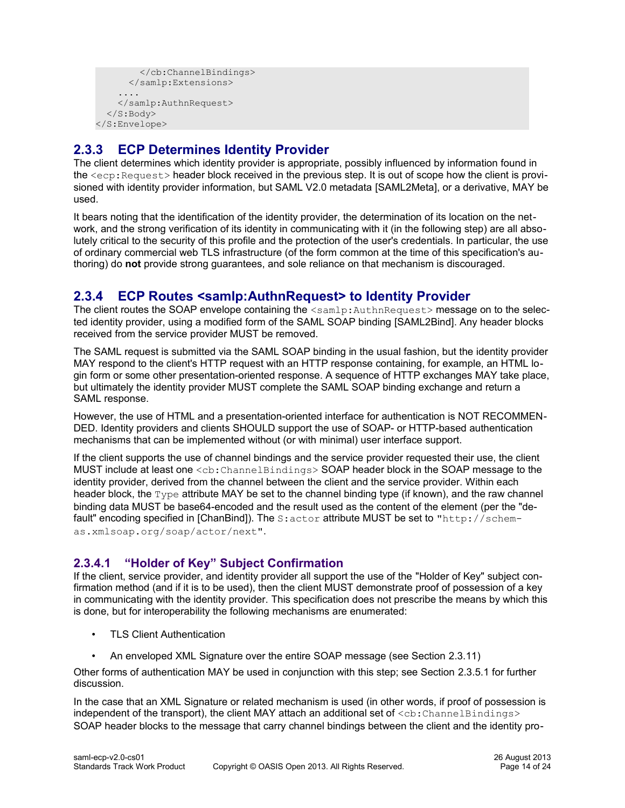```
 </cb:ChannelBindings>
       </samlp:Extensions>
 ....
    </samlp:AuthnRequest>
   </S:Body>
</S:Envelope>
```
# <span id="page-13-2"></span>**2.3.3 ECP Determines Identity Provider**

The client determines which identity provider is appropriate, possibly influenced by information found in the <ecp:Request> header block received in the previous step. It is out of scope how the client is provisioned with identity provider information, but SAML V2.0 metadata [\[SAML2Meta\],](#page-8-1) or a derivative, MAY be used.

It bears noting that the identification of the identity provider, the determination of its location on the network, and the strong verification of its identity in communicating with it (in the following step) are all absolutely critical to the security of this profile and the protection of the user's credentials. In particular, the use of ordinary commercial web TLS infrastructure (of the form common at the time of this specification's authoring) do **not** provide strong guarantees, and sole reliance on that mechanism is discouraged.

# <span id="page-13-1"></span>**2.3.4 ECP Routes <samlp:AuthnRequest> to Identity Provider**

The client routes the SOAP envelope containing the  $\leq$ samlp:AuthnRequest> message on to the selected identity provider, using a modified form of the SAML SOAP binding [\[SAML2Bind\].](#page-7-9) Any header blocks received from the service provider MUST be removed.

The SAML request is submitted via the SAML SOAP binding in the usual fashion, but the identity provider MAY respond to the client's HTTP request with an HTTP response containing, for example, an HTML login form or some other presentation-oriented response. A sequence of HTTP exchanges MAY take place, but ultimately the identity provider MUST complete the SAML SOAP binding exchange and return a SAML response.

However, the use of HTML and a presentation-oriented interface for authentication is NOT RECOMMEN-DED. Identity providers and clients SHOULD support the use of SOAP- or HTTP-based authentication mechanisms that can be implemented without (or with minimal) user interface support.

If the client supports the use of channel bindings and the service provider requested their use, the client MUST include at least one <cb:ChannelBindings> SOAP header block in the SOAP message to the identity provider, derived from the channel between the client and the service provider. Within each header block, the  $Type$  attribute MAY be set to the channel binding type (if known), and the raw channel binding data MUST be base64-encoded and the result used as the content of the element (per the "de-fault" encoding specified in [\[ChanBind\]\)](#page-6-0). The S: actor attribute MUST be set to "http://schemas.xmlsoap.org/soap/actor/next".

# <span id="page-13-0"></span>**2.3.4.1 "Holder of Key" Subject Confirmation**

If the client, service provider, and identity provider all support the use of the "Holder of Key" subject confirmation method (and if it is to be used), then the client MUST demonstrate proof of possession of a key in communicating with the identity provider. This specification does not prescribe the means by which this is done, but for interoperability the following mechanisms are enumerated:

- TLS Client Authentication
- An enveloped XML Signature over the entire SOAP message (see Section [2.3.11\)](#page-20-0)

Other forms of authentication MAY be used in conjunction with this step; see Section [2.3.5.1](#page-14-0) for further discussion.

In the case that an XML Signature or related mechanism is used (in other words, if proof of possession is independent of the transport), the client MAY attach an additional set of  $\langle$ cb:ChannelBindings> SOAP header blocks to the message that carry channel bindings between the client and the identity pro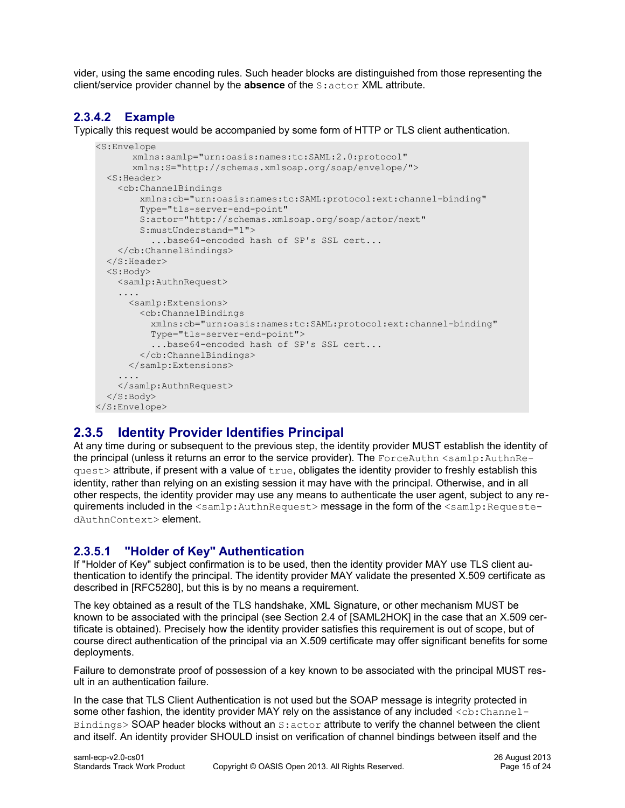vider, using the same encoding rules. Such header blocks are distinguished from those representing the client/service provider channel by the **absence** of the S:actor XML attribute.

# **2.3.4.2 Example**

Typically this request would be accompanied by some form of HTTP or TLS client authentication.

```
<S:Envelope
      xmlns:samlp="urn:oasis:names:tc:SAML:2.0:protocol"
      xmlns:S="http://schemas.xmlsoap.org/soap/envelope/">
   <S:Header>
     <cb:ChannelBindings
         xmlns:cb="urn:oasis:names:tc:SAML:protocol:ext:channel-binding"
         Type="tls-server-end-point"
        S:actor="http://schemas.xmlsoap.org/soap/actor/next"
        S:mustUnderstand="1">
          ...base64-encoded hash of SP's SSL cert...
    </cb:ChannelBindings>
   </S:Header>
   <S:Body>
    <samlp:AuthnRequest>
 ....
      <samlp:Extensions>
        <cb:ChannelBindings
          xmlns:cb="urn:oasis:names:tc:SAML:protocol:ext:channel-binding"
          Type="tls-server-end-point">
           ...base64-encoded hash of SP's SSL cert...
        </cb:ChannelBindings>
      </samlp:Extensions>
 ....
    </samlp:AuthnRequest>
  </S:Body>
</S:Envelope>
```
# <span id="page-14-1"></span>**2.3.5 Identity Provider Identifies Principal**

At any time during or subsequent to the previous step, the identity provider MUST establish the identity of the principal (unless it returns an error to the service provider). The ForceAuthn  $\leq$ samlp:AuthnRe $ques$ t> attribute, if present with a value of  $true$ , obligates the identity provider to freshly establish this identity, rather than relying on an existing session it may have with the principal. Otherwise, and in all other respects, the identity provider may use any means to authenticate the user agent, subject to any requirements included in the <samlp:AuthnRequest> message in the form of the <samlp:RequestedAuthnContext> element.

# <span id="page-14-0"></span>**2.3.5.1 "Holder of Key" Authentication**

If "Holder of Key" subject confirmation is to be used, then the identity provider MAY use TLS client authentication to identify the principal. The identity provider MAY validate the presented X.509 certificate as described in [\[RFC5280\],](#page-7-10) but this is by no means a requirement.

The key obtained as a result of the TLS handshake, XML Signature, or other mechanism MUST be known to be associated with the principal (see Section 2.4 of [\[SAML2HOK\]](#page-7-0) in the case that an X.509 certificate is obtained). Precisely how the identity provider satisfies this requirement is out of scope, but of course direct authentication of the principal via an X.509 certificate may offer significant benefits for some deployments.

Failure to demonstrate proof of possession of a key known to be associated with the principal MUST result in an authentication failure.

In the case that TLS Client Authentication is not used but the SOAP message is integrity protected in some other fashion, the identity provider MAY rely on the assistance of any included <cb: Channel-Bindings> SOAP header blocks without an S:actor attribute to verify the channel between the client and itself. An identity provider SHOULD insist on verification of channel bindings between itself and the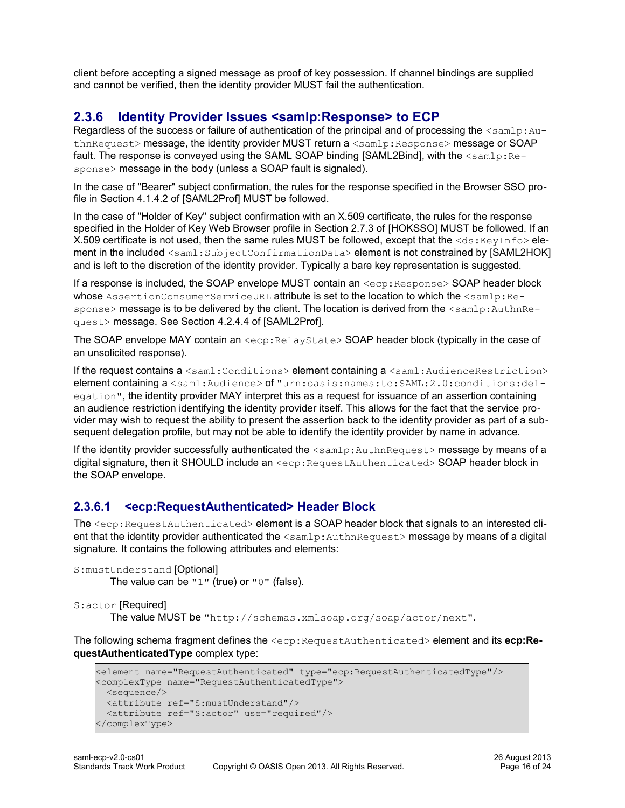client before accepting a signed message as proof of key possession. If channel bindings are supplied and cannot be verified, then the identity provider MUST fail the authentication.

# <span id="page-15-1"></span>**2.3.6 Identity Provider Issues <samlp:Response> to ECP**

Regardless of the success or failure of authentication of the principal and of processing the  $\langle \text{samlp:Au} - \rangle$ thnRequest> message, the identity provider MUST return a <samlp: Response> message or SOAP fault. The response is conveyed using the SAML SOAP binding [\[SAML2Bind\],](#page-7-9) with the  $\leq$ samlp:Response> message in the body (unless a SOAP fault is signaled).

In the case of "Bearer" subject confirmation, the rules for the response specified in the Browser SSO profile in Section 4.1.4.2 of [\[SAML2Prof\]](#page-8-9) MUST be followed.

In the case of "Holder of Key" subject confirmation with an X.509 certificate, the rules for the response specified in the Holder of Key Web Browser profile in Section 2.7.3 of [\[HOKSSO\]](#page-7-3) MUST be followed. If an X.509 certificate is not used, then the same rules MUST be followed, except that the <ds:KeyInfo>ele-ment in the included <saml: SubjectConfirmationData> element is not constrained by [\[SAML2HOK\]](#page-7-0) and is left to the discretion of the identity provider. Typically a bare key representation is suggested.

If a response is included, the SOAP envelope MUST contain an  $\langle$ ecp: Response> SOAP header block whose AssertionConsumerServiceURL attribute is set to the location to which the <samlp:Response> message is to be delivered by the client. The location is derived from the <samlp:AuthnRequest> message. See Section 4.2.4.4 of [\[SAML2Prof\].](#page-8-9)

The SOAP envelope MAY contain an <ecp: RelayState> SOAP header block (typically in the case of an unsolicited response).

If the request contains a <saml:Conditions> element containing a <saml:AudienceRestriction> element containing a <saml:Audience> of "urn:oasis:names:tc:SAML:2.0:conditions:delegation", the identity provider MAY interpret this as a request for issuance of an assertion containing an audience restriction identifying the identity provider itself. This allows for the fact that the service provider may wish to request the ability to present the assertion back to the identity provider as part of a subsequent delegation profile, but may not be able to identify the identity provider by name in advance.

If the identity provider successfully authenticated the  $\leq$ samlp:AuthnRequest> message by means of a digital signature, then it SHOULD include an  $\langle exp:RequestAuthorlicate \triangle SOAP$  header block in the SOAP envelope.

# <span id="page-15-0"></span>**2.3.6.1 <ecp:RequestAuthenticated> Header Block**

The <ecp: RequestAuthenticated> element is a SOAP header block that signals to an interested client that the identity provider authenticated the <samlp:AuthnRequest> message by means of a digital signature. It contains the following attributes and elements:

```
S:mustUnderstand [Optional]
       The value can be "1" (true) or "0" (false).
```

```
S:actor [Required]
```
The value MUST be "http://schemas.xmlsoap.org/soap/actor/next".

The following schema fragment defines the <ecp:RequestAuthenticated> element and its **ecp:RequestAuthenticatedType** complex type:

```
<element name="RequestAuthenticated" type="ecp:RequestAuthenticatedType"/>
<complexType name="RequestAuthenticatedType">
  <sequence/>
  <attribute ref="S:mustUnderstand"/>
  <attribute ref="S:actor" use="required"/>
</complexType>
```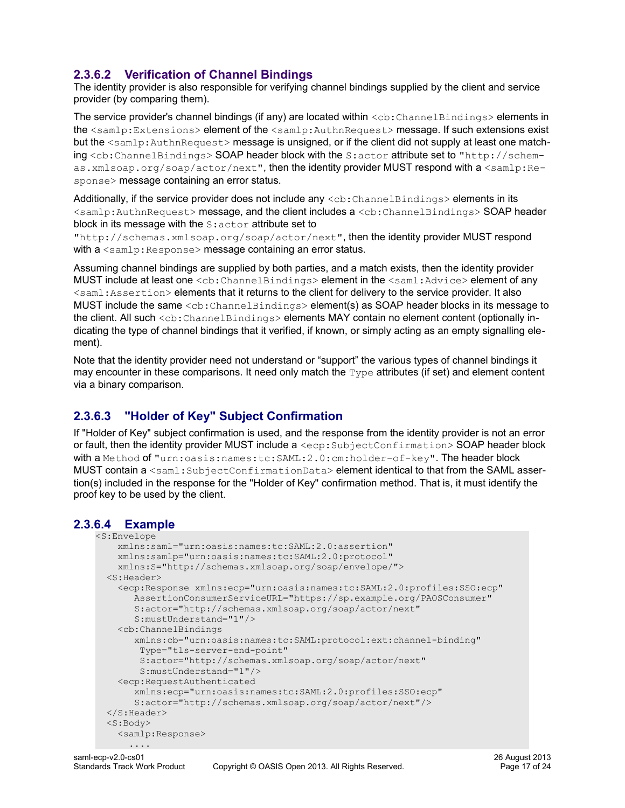# <span id="page-16-2"></span>**2.3.6.2 Verification of Channel Bindings**

The identity provider is also responsible for verifying channel bindings supplied by the client and service provider (by comparing them).

The service provider's channel bindings (if any) are located within <cb: ChannelBindings> elements in the <samlp:Extensions> element of the <samlp:AuthnRequest> message. If such extensions exist but the <samlp:AuthnRequest> message is unsigned, or if the client did not supply at least one matching <cb:ChannelBindings> SOAP header block with the S:actor attribute set to "http://schemas.xmlsoap.org/soap/actor/next", then the identity provider MUST respond with a <samlp:Response> message containing an error status.

Additionally, if the service provider does not include any  $\langle$ cb:ChannelBindings> elements in its <samlp:AuthnRequest> message, and the client includes a <cb:ChannelBindings> SOAP header block in its message with the  $s$ : actor attribute set to

"http://schemas.xmlsoap.org/soap/actor/next", then the identity provider MUST respond with a  $\langle \text{sample:Response} \rangle$  message containing an error status.

Assuming channel bindings are supplied by both parties, and a match exists, then the identity provider MUST include at least one <cb: ChannelBindings> element in the <saml: Advice> element of any <saml:Assertion> elements that it returns to the client for delivery to the service provider. It also MUST include the same <cb: ChannelBindings> element(s) as SOAP header blocks in its message to the client. All such <cb: ChannelBindings> elements MAY contain no element content (optionally indicating the type of channel bindings that it verified, if known, or simply acting as an empty signalling element).

Note that the identity provider need not understand or "support" the various types of channel bindings it may encounter in these comparisons. It need only match the  $Type$  attributes (if set) and element content via a binary comparison.

# <span id="page-16-1"></span>**2.3.6.3 "Holder of Key" Subject Confirmation**

If "Holder of Key" subject confirmation is used, and the response from the identity provider is not an error or fault, then the identity provider MUST include a <ecp: SubjectConfirmation> SOAP header block with a Method of "urn:oasis:names:tc:SAML:2.0:cm:holder-of-key". The header block MUST contain a <saml:SubjectConfirmationData> element identical to that from the SAML assertion(s) included in the response for the "Holder of Key" confirmation method. That is, it must identify the proof key to be used by the client.

# **2.3.6.4 Example**

```
<S:Envelope
    xmlns:saml="urn:oasis:names:tc:SAML:2.0:assertion"
    xmlns:samlp="urn:oasis:names:tc:SAML:2.0:protocol"
    xmlns:S="http://schemas.xmlsoap.org/soap/envelope/">
   <S:Header>
     <ecp:Response xmlns:ecp="urn:oasis:names:tc:SAML:2.0:profiles:SSO:ecp"
        AssertionConsumerServiceURL="https://sp.example.org/PAOSConsumer" 
        S:actor="http://schemas.xmlsoap.org/soap/actor/next"
        S:mustUnderstand="1"/>
     <cb:ChannelBindings
        xmlns:cb="urn:oasis:names:tc:SAML:protocol:ext:channel-binding"
         Type="tls-server-end-point"
        S:actor="http://schemas.xmlsoap.org/soap/actor/next"
        S:mustUnderstand="1"/>
     <ecp:RequestAuthenticated 
       xmlns:ecp="urn:oasis:names:tc:SAML:2.0:profiles:SSO:ecp"
       S:actor="http://schemas.xmlsoap.org/soap/actor/next"/>
   </S:Header>
   <S:Body>
     <samlp:Response>
       ....
```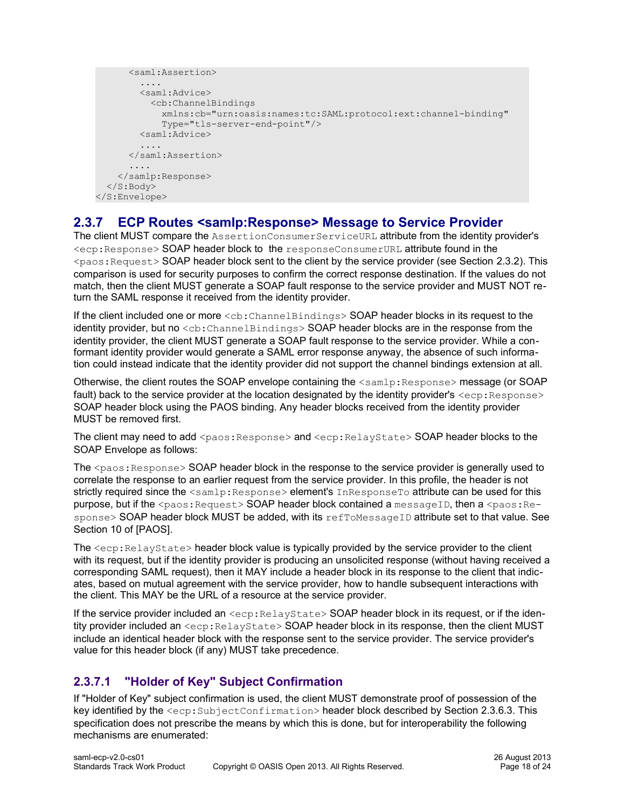```
 <saml:Assertion>
         ....
         <saml:Advice>
           <cb:ChannelBindings
              xmlns:cb="urn:oasis:names:tc:SAML:protocol:ext:channel-binding"
              Type="tls-server-end-point"/>
         <saml:Advice>
          ....
       </saml:Assertion>
       ....
     </samlp:Response>
   </S:Body>
</S:Envelope>
```
# <span id="page-17-1"></span>**2.3.7 ECP Routes <samlp:Response> Message to Service Provider**

The client MUST compare the AssertionConsumerServiceURL attribute from the identity provider's <ecp:Response> SOAP header block to the responseConsumerURL attribute found in the  $\langle$ paos: Request> SOAP header block sent to the client by the service provider (see Section [2.3.2\)](#page-10-0). This comparison is used for security purposes to confirm the correct response destination. If the values do not match, then the client MUST generate a SOAP fault response to the service provider and MUST NOT return the SAML response it received from the identity provider.

If the client included one or more  $\langle$ cb:ChannelBindings> SOAP header blocks in its request to the identity provider, but no  $\langle$ cb:ChannelBindings> SOAP header blocks are in the response from the identity provider, the client MUST generate a SOAP fault response to the service provider. While a conformant identity provider would generate a SAML error response anyway, the absence of such information could instead indicate that the identity provider did not support the channel bindings extension at all.

Otherwise, the client routes the SOAP envelope containing the <samlp:Response> message (or SOAP fault) back to the service provider at the location designated by the identity provider's  $\langle$ ecp: Response $\rangle$ SOAP header block using the PAOS binding. Any header blocks received from the identity provider MUST be removed first.

The client may need to add <paos: Response> and <ecp: RelayState> SOAP header blocks to the SOAP Envelope as follows:

The  $<$ paos: Response $>$  SOAP header block in the response to the service provider is generally used to correlate the response to an earlier request from the service provider. In this profile, the header is not strictly required since the <samlp:Response> element's InResponseTo attribute can be used for this purpose, but if the <paos: Request> SOAP header block contained a messageID, then a <paos: Response> SOAP header block MUST be added, with its refToMessageID attribute set to that value. See Section 10 of IPAOSI.

The  $\langle exp:RelayState\rangle$  header block value is typically provided by the service provider to the client with its request, but if the identity provider is producing an unsolicited response (without having received a corresponding SAML request), then it MAY include a header block in its response to the client that indicates, based on mutual agreement with the service provider, how to handle subsequent interactions with the client. This MAY be the URL of a resource at the service provider.

If the service provider included an  $\langle$ ecp:RelayState> SOAP header block in its request, or if the identity provider included an <ecp: RelayState> SOAP header block in its response, then the client MUST include an identical header block with the response sent to the service provider. The service provider's value for this header block (if any) MUST take precedence.

# <span id="page-17-0"></span>**2.3.7.1 "Holder of Key" Subject Confirmation**

If "Holder of Key" subject confirmation is used, the client MUST demonstrate proof of possession of the key identified by the  $\langle$ ecp:SubjectConfirmation> header block described by Section [2.3.6.3.](#page-16-1) This specification does not prescribe the means by which this is done, but for interoperability the following mechanisms are enumerated: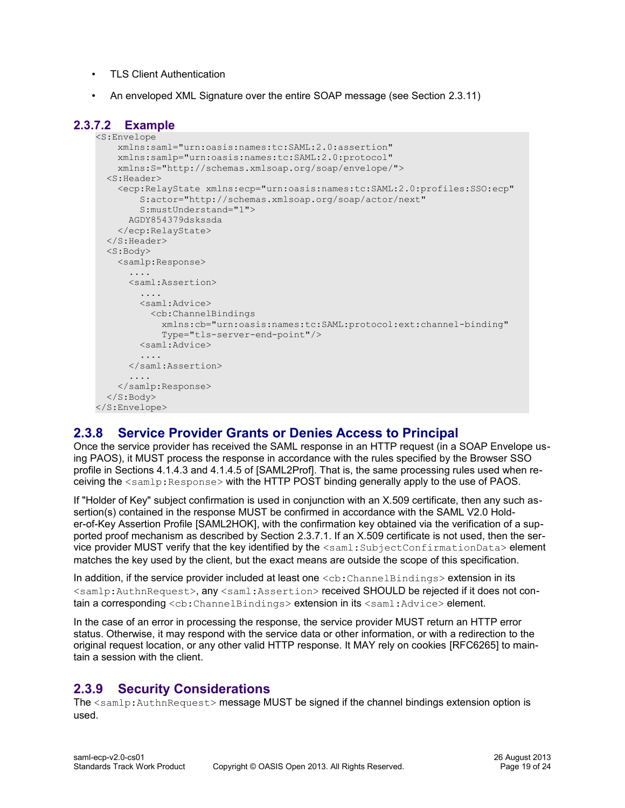- TLS Client Authentication
- An enveloped XML Signature over the entire SOAP message (see Section [2.3.11\)](#page-20-0)

### **2.3.7.2 Example**

```
<S:Envelope
    xmlns:saml="urn:oasis:names:tc:SAML:2.0:assertion"
     xmlns:samlp="urn:oasis:names:tc:SAML:2.0:protocol"
    xmlns:S="http://schemas.xmlsoap.org/soap/envelope/">
   <S:Header>
     <ecp:RelayState xmlns:ecp="urn:oasis:names:tc:SAML:2.0:profiles:SSO:ecp"
         S:actor="http://schemas.xmlsoap.org/soap/actor/next"
         S:mustUnderstand="1">
       AGDY854379dskssda
     </ecp:RelayState>
   </S:Header>
   <S:Body>
     <samlp:Response>
      ....
       <saml:Assertion>
         ....
        <saml:Advice>
           <cb:ChannelBindings
             xmlns:cb="urn:oasis:names:tc:SAML:protocol:ext:channel-binding"
             Type="tls-server-end-point"/>
         <saml:Advice>
         ....
       </saml:Assertion>
       ....
    </samlp:Response>
  </S:Body>
</S:Envelope>
```
# <span id="page-18-1"></span>**2.3.8 Service Provider Grants or Denies Access to Principal**

Once the service provider has received the SAML response in an HTTP request (in a SOAP Envelope using PAOS), it MUST process the response in accordance with the rules specified by the Browser SSO profile in Sections 4.1.4.3 and 4.1.4.5 of [\[SAML2Prof\].](#page-8-9) That is, the same processing rules used when receiving the <samlp:Response> with the HTTP POST binding generally apply to the use of PAOS.

If "Holder of Key" subject confirmation is used in conjunction with an X.509 certificate, then any such assertion(s) contained in the response MUST be confirmed in accordance with the SAML V2.0 Holder-of-Key Assertion Profile [\[SAML2HOK\],](#page-7-0) with the confirmation key obtained via the verification of a supported proof mechanism as described by Section [2.3.7.1.](#page-17-0) If an X.509 certificate is not used, then the service provider MUST verify that the key identified by the <saml:SubjectConfirmationData> element matches the key used by the client, but the exact means are outside the scope of this specification.

In addition, if the service provider included at least one  $\langle$ cb: ChannelBindings> extension in its <samlp:AuthnRequest>, any <saml:Assertion> received SHOULD be rejected if it does not contain a corresponding <cb:ChannelBindings> extension in its <saml:Advice> element.

In the case of an error in processing the response, the service provider MUST return an HTTP error status. Otherwise, it may respond with the service data or other information, or with a redirection to the original request location, or any other valid HTTP response. It MAY rely on cookies [\[RFC6265\]](#page-7-11) to maintain a session with the client.

# <span id="page-18-0"></span>**2.3.9 Security Considerations**

The <samlp:AuthnRequest> message MUST be signed if the channel bindings extension option is used.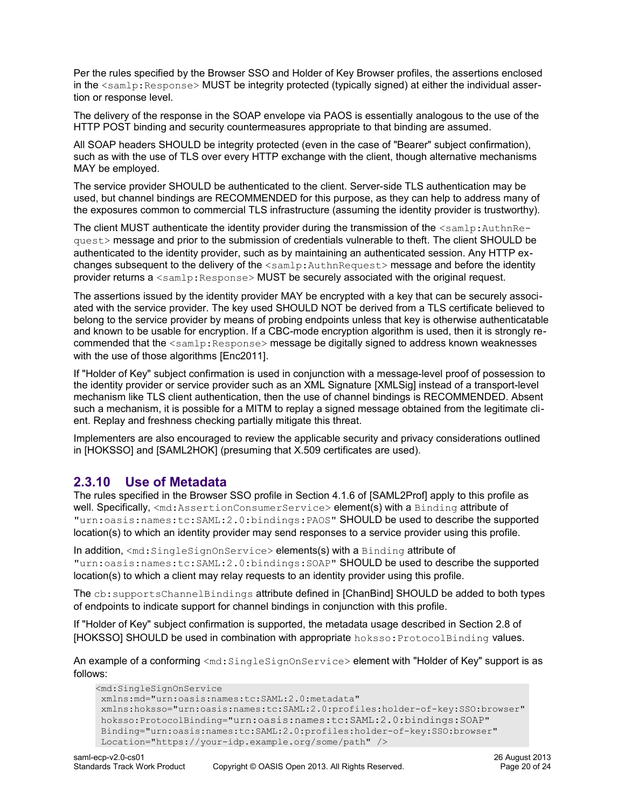Per the rules specified by the Browser SSO and Holder of Key Browser profiles, the assertions enclosed in the  $\leq$ samlp:Response> MUST be integrity protected (typically signed) at either the individual assertion or response level.

The delivery of the response in the SOAP envelope via PAOS is essentially analogous to the use of the HTTP POST binding and security countermeasures appropriate to that binding are assumed.

All SOAP headers SHOULD be integrity protected (even in the case of "Bearer" subject confirmation), such as with the use of TLS over every HTTP exchange with the client, though alternative mechanisms MAY be employed.

The service provider SHOULD be authenticated to the client. Server-side TLS authentication may be used, but channel bindings are RECOMMENDED for this purpose, as they can help to address many of the exposures common to commercial TLS infrastructure (assuming the identity provider is trustworthy).

The client MUST authenticate the identity provider during the transmission of the <samlp:AuthnRequest> message and prior to the submission of credentials vulnerable to theft. The client SHOULD be authenticated to the identity provider, such as by maintaining an authenticated session. Any HTTP exchanges subsequent to the delivery of the  $\leq$ samlp:AuthnRequest> message and before the identity provider returns a <samlp:Response> MUST be securely associated with the original request.

The assertions issued by the identity provider MAY be encrypted with a key that can be securely associated with the service provider. The key used SHOULD NOT be derived from a TLS certificate believed to belong to the service provider by means of probing endpoints unless that key is otherwise authenticatable and known to be usable for encryption. If a CBC-mode encryption algorithm is used, then it is strongly recommended that the <samlp:Response> message be digitally signed to address known weaknesses with the use of those algorithms [\[Enc2011\].](#page-8-10)

If "Holder of Key" subject confirmation is used in conjunction with a message-level proof of possession to the identity provider or service provider such as an XML Signature [\[XMLSig\]](#page-8-2) instead of a transport-level mechanism like TLS client authentication, then the use of channel bindings is RECOMMENDED. Absent such a mechanism, it is possible for a MITM to replay a signed message obtained from the legitimate client. Replay and freshness checking partially mitigate this threat.

Implementers are also encouraged to review the applicable security and privacy considerations outlined in [\[HOKSSO\]](#page-7-3) and [\[SAML2HOK\]](#page-7-0) (presuming that X.509 certificates are used).

### <span id="page-19-0"></span>**2.3.10 Use of Metadata**

The rules specified in the Browser SSO profile in Section 4.1.6 of [\[SAML2Prof\]](#page-8-9) apply to this profile as well. Specifically, <md:AssertionConsumerService> element(s) with a Binding attribute of "urn:oasis:names:tc:SAML:2.0:bindings:PAOS" SHOULD be used to describe the supported location(s) to which an identity provider may send responses to a service provider using this profile.

In addition, <md:SingleSignOnService> elements(s) with a Binding attribute of "urn:oasis:names:tc:SAML:2.0:bindings:SOAP" SHOULD be used to describe the supported location(s) to which a client may relay requests to an identity provider using this profile.

The cb:supportsChannelBindings attribute defined in [\[ChanBind\]](#page-6-0) SHOULD be added to both types of endpoints to indicate support for channel bindings in conjunction with this profile.

If "Holder of Key" subject confirmation is supported, the metadata usage described in Section 2.8 of [\[HOKSSO\]](#page-7-3) SHOULD be used in combination with appropriate hoksso: ProtocolBinding values.

An example of a conforming <md:SingleSignOnService> element with "Holder of Key" support is as follows:

```
<md:SingleSignOnService
 xmlns:md="urn:oasis:names:tc:SAML:2.0:metadata" 
 xmlns:hoksso="urn:oasis:names:tc:SAML:2.0:profiles:holder-of-key:SSO:browser"
 hoksso:ProtocolBinding="urn:oasis:names:tc:SAML:2.0:bindings:SOAP"
 Binding="urn:oasis:names:tc:SAML:2.0:profiles:holder-of-key:SSO:browser"
 Location="https://your-idp.example.org/some/path" />
```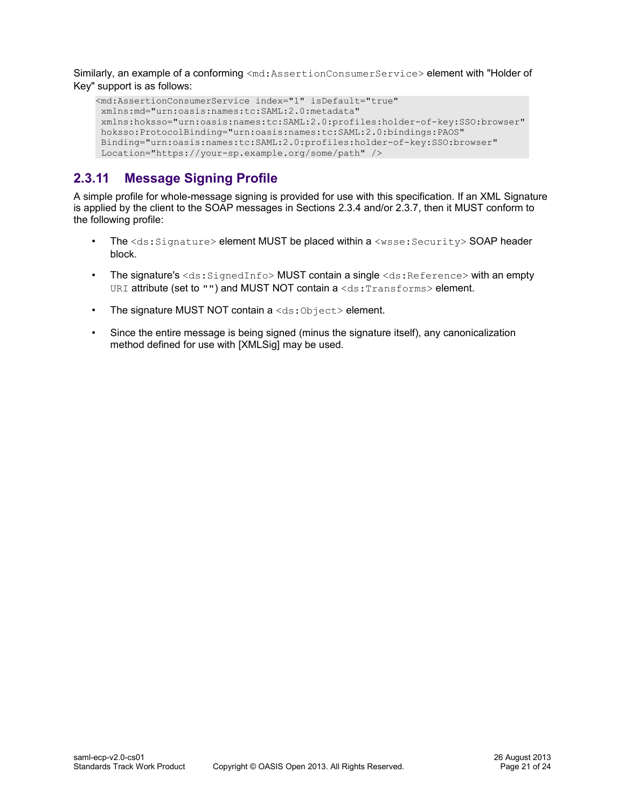Similarly, an example of a conforming <md:AssertionConsumerService> element with "Holder of Key" support is as follows:

```
<md:AssertionConsumerService index="1" isDefault="true"
 xmlns:md="urn:oasis:names:tc:SAML:2.0:metadata"
 xmlns:hoksso="urn:oasis:names:tc:SAML:2.0:profiles:holder-of-key:SSO:browser"
 hoksso:ProtocolBinding="urn:oasis:names:tc:SAML:2.0:bindings:PAOS"
 Binding="urn:oasis:names:tc:SAML:2.0:profiles:holder-of-key:SSO:browser"
 Location="https://your-sp.example.org/some/path" />
```
# <span id="page-20-0"></span>**2.3.11 Message Signing Profile**

A simple profile for whole-message signing is provided for use with this specification. If an XML Signature is applied by the client to the SOAP messages in Sections [2.3.4](#page-13-1) and/or [2.3.7,](#page-17-1) then it MUST conform to the following profile:

- The  $\text{&ds:Signature> element MUST$  be placed within a  $\text{&wsse:Security> SOAP header}$ block.
- The signature's  $\langle ds : S \text{ is the distance of } s \rangle$  MUST contain a single  $\langle ds : R \text{ is the distance of } s \rangle$  with an empty URI attribute (set to "") and MUST NOT contain a <ds: Transforms> element.
- The signature MUST NOT contain  $a \leq ds : 0 \text{ objects} >$  element.
- Since the entire message is being signed (minus the signature itself), any canonicalization method defined for use with [\[XMLSig\]](#page-8-2) may be used.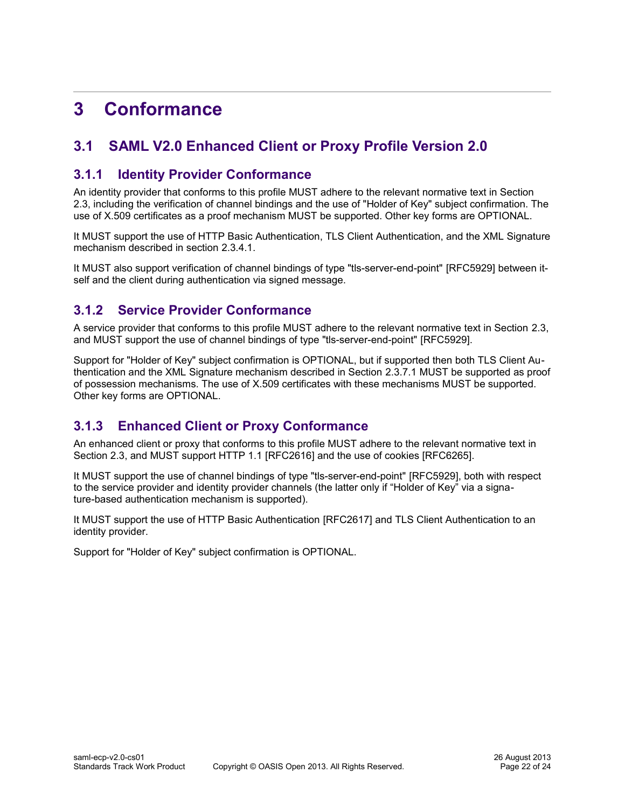# <span id="page-21-4"></span>**3 Conformance**

# <span id="page-21-3"></span>**3.1 SAML V2.0 Enhanced Client or Proxy Profile Version 2.0**

### <span id="page-21-2"></span>**3.1.1 Identity Provider Conformance**

An identity provider that conforms to this profile MUST adhere to the relevant normative text in Sectio[n](#page-9-1) [2.3,](#page-9-1) including the verification of channel bindings and the use of "Holder of Key" subject confirmation. The use of X.509 certificates as a proof mechanism MUST be supported. Other key forms are OPTIONAL.

It MUST support the use of HTTP Basic Authentication, TLS Client Authentication, and the XML Signature mechanism described in section [2.3.4.1.](#page-13-0)

It MUST also support verification of channel bindings of type "tls-server-end-point" [\[RFC5929\]](#page-7-13) between itself and the client during authentication via signed message.

# <span id="page-21-1"></span>**3.1.2 Service Provider Conformance**

A service provider that conforms to this profile MUST adhere to the relevant normative text in Section [2.3,](#page-9-1) and MUST support the use of channel bindings of type "tls-server-end-point" [\[RFC5929\].](#page-7-13)

Support for "Holder of Key" subject confirmation is OPTIONAL, but if supported then both TLS Client Authentication and the XML Signature mechanism described in Section [2.3.7.1](#page-17-0) MUST be supported as proof of possession mechanisms. The use of X.509 certificates with these mechanisms MUST be supported. Other key forms are OPTIONAL.

# <span id="page-21-0"></span>**3.1.3 Enhanced Client or Proxy Conformance**

An enhanced client or proxy that conforms to this profile MUST adhere to the relevant normative text in Section [2.3,](#page-9-1) and MUST support HTTP 1.1 [\[RFC2616\]](#page-7-14) and the use of cookies [\[RFC6265\].](#page-7-11)

It MUST support the use of channel bindings of type "tls-server-end-point" [\[RFC5929\],](#page-7-13) both with respect to the service provider and identity provider channels (the latter only if "Holder of Key" via a signature-based authentication mechanism is supported).

It MUST support the use of HTTP Basic Authentication [\[RFC2617\]](#page-7-12) and TLS Client Authentication to an identity provider.

Support for "Holder of Key" subject confirmation is OPTIONAL.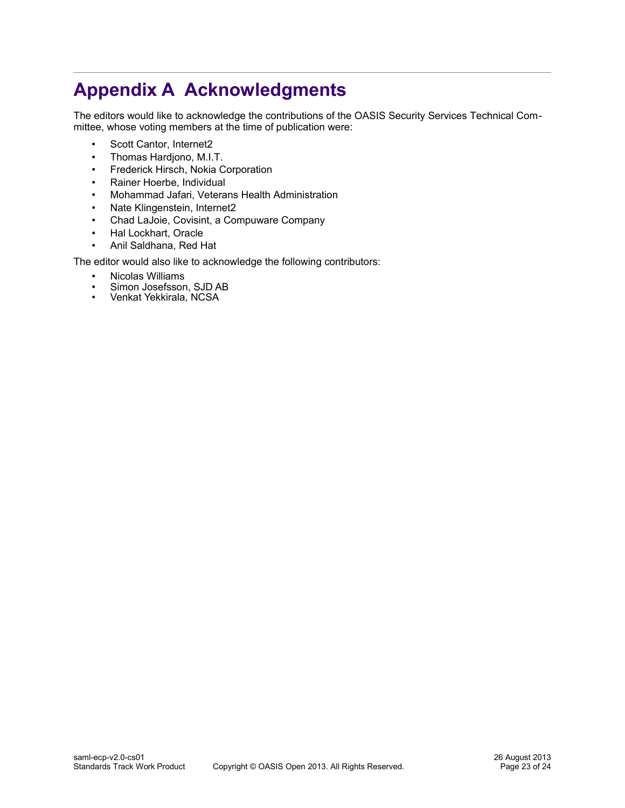# **Appendix A Acknowledgments**

The editors would like to acknowledge the contributions of the OASIS Security Services Technical Committee, whose voting members at the time of publication were:

- <span id="page-22-0"></span>• Scott Cantor, Internet2
- Thomas Hardjono, M.I.T.
- Frederick Hirsch, Nokia Corporation
- Rainer Hoerbe, Individual
- Mohammad Jafari, Veterans Health Administration
- Nate Klingenstein, Internet2
- Chad LaJoie, Covisint, a Compuware Company
- Hal Lockhart, Oracle
- Anil Saldhana, Red Hat

The editor would also like to acknowledge the following contributors:

- Nicolas Williams
- Simon Josefsson, SJD AB<br>• Venkat Yekkirala, NCSA
- Venkat Yekkirala, NCSA